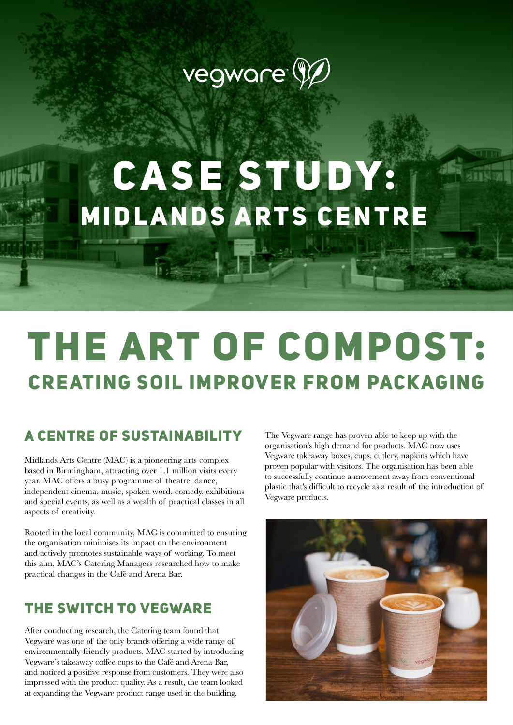

## CASE STUDY: MIDLANDS ARTS CENTRE

## The art of compost: creating soil improver from packaging

### A CENTRE OF SUSTAINABILITY The Vegware range has proven able to keep up with the

Midlands Arts Centre (MAC) is a pioneering arts complex based in Birmingham, attracting over 1.1 million visits every year. MAC offers a busy programme of theatre, dance, independent cinema, music, spoken word, comedy, exhibitions and special events, as well as a wealth of practical classes in all aspects of creativity.

Rooted in the local community, MAC is committed to ensuring the organisation minimises its impact on the environment and actively promotes sustainable ways of working. To meet this aim, MAC's Catering Managers researched how to make practical changes in the Café and Arena Bar.

### The switch to Vegware

After conducting research, the Catering team found that Vegware was one of the only brands offering a wide range of environmentally-friendly products. MAC started by introducing Vegware's takeaway coffee cups to the Café and Arena Bar, and noticed a positive response from customers. They were also impressed with the product quality. As a result, the team looked at expanding the Vegware product range used in the building.

organisation's high demand for products. MAC now uses Vegware takeaway boxes, cups, cutlery, napkins which have proven popular with visitors. The organisation has been able to successfully continue a movement away from conventional plastic that's difficult to recycle as a result of the introduction of Vegware products.

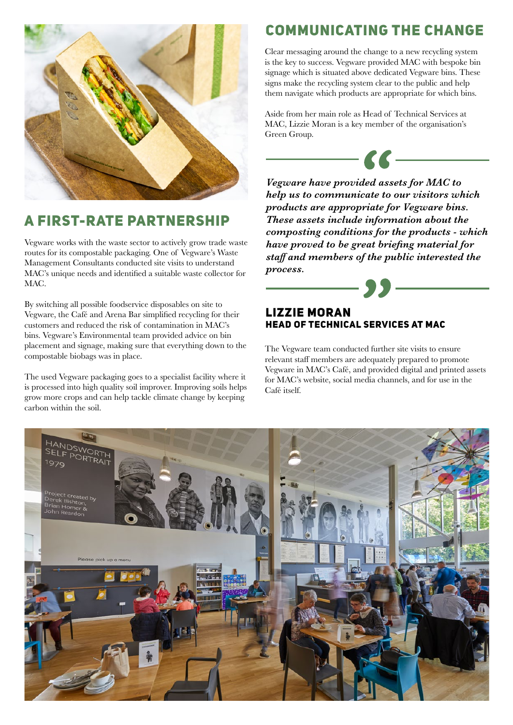

### A first-rate partnership

Vegware works with the waste sector to actively grow trade waste routes for its compostable packaging. One of Vegware's Waste Management Consultants conducted site visits to understand MAC's unique needs and identified a suitable waste collector for MAC.

By switching all possible foodservice disposables on site to Vegware, the Café and Arena Bar simplified recycling for their customers and reduced the risk of contamination in MAC's bins. Vegware's Environmental team provided advice on bin placement and signage, making sure that everything down to the compostable biobags was in place.

The used Vegware packaging goes to a specialist facility where it is processed into high quality soil improver. Improving soils helps grow more crops and can help tackle climate change by keeping carbon within the soil.

### Communicating the change

Clear messaging around the change to a new recycling system is the key to success. Vegware provided MAC with bespoke bin signage which is situated above dedicated Vegware bins. These signs make the recycling system clear to the public and help them navigate which products are appropriate for which bins.

Aside from her main role as Head of Technical Services at MAC, Lizzie Moran is a key member of the organisation's Green Group.



*Vegware have provided assets for MAC to help us to communicate to our visitors which products are appropriate for Vegware bins. These assets include information about the composting conditions for the products - which have proved to be great briefing material for staff and members of the public interested the process.*

#### Lizzie Moran Head of Technical Services at MAC

- 95

The Vegware team conducted further site visits to ensure relevant staff members are adequately prepared to promote Vegware in MAC's Café, and provided digital and printed assets for MAC's website, social media channels, and for use in the Café itself.